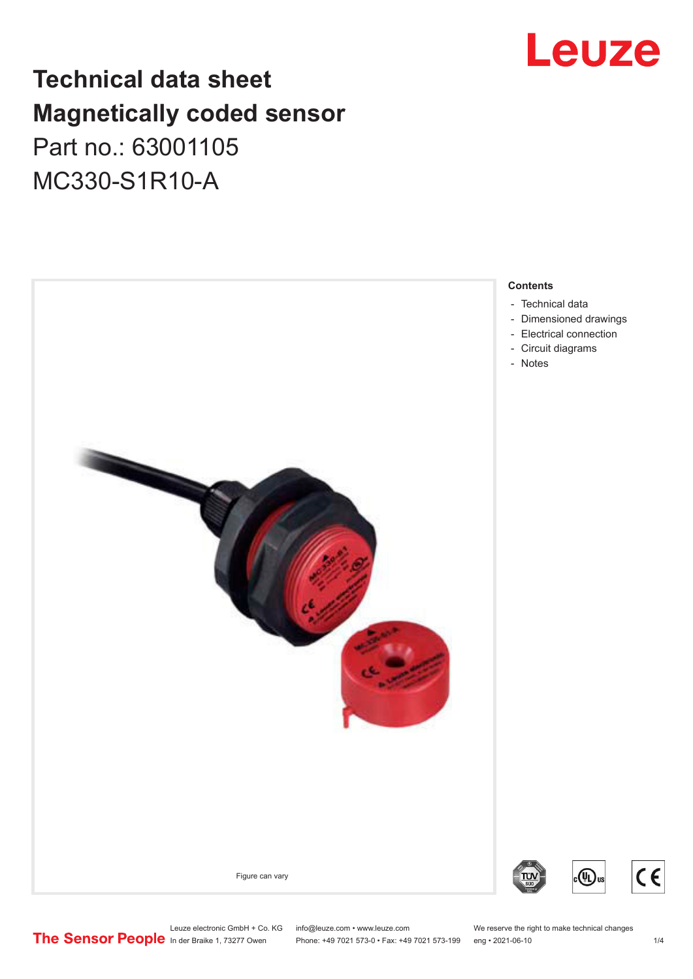## Leuze

## **Technical data sheet Magnetically coded sensor** Part no.: 63001105 MC330-S1R10-A



Leuze electronic GmbH + Co. KG info@leuze.com • www.leuze.com We reserve the right to make technical changes<br>
The Sensor People in der Braike 1, 73277 Owen Phone: +49 7021 573-0 • Fax: +49 7021 573-199 eng • 2021-06-10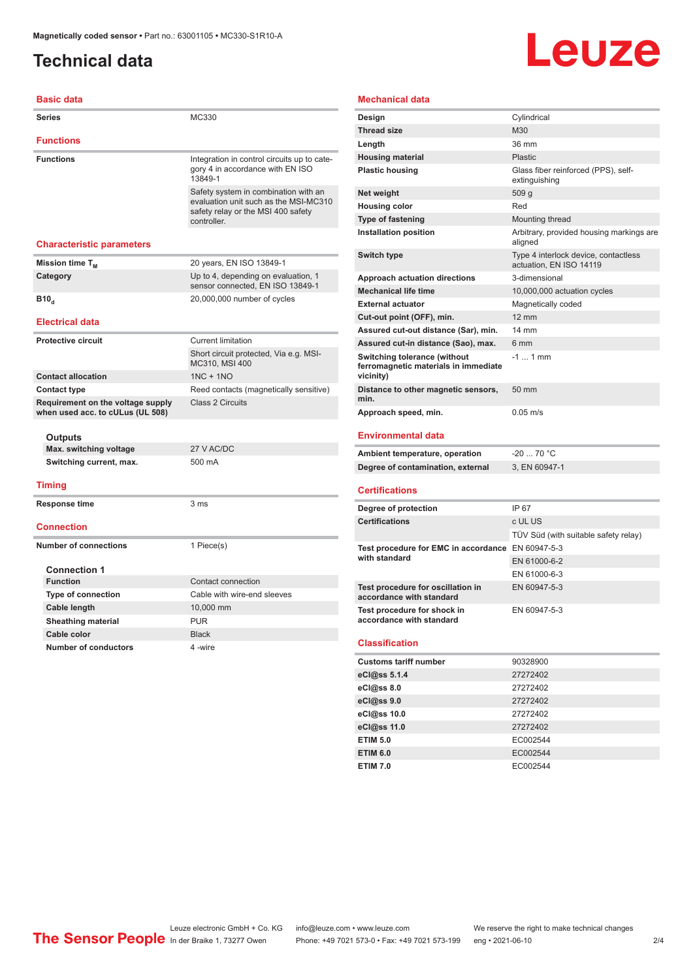## <span id="page-1-0"></span>**Technical data**

**Basic data**

# Leuze

#### **Mechanical data**

| <b>Series</b>                                                         | MC330                                                                                                                              |  |
|-----------------------------------------------------------------------|------------------------------------------------------------------------------------------------------------------------------------|--|
| <b>Functions</b>                                                      |                                                                                                                                    |  |
| <b>Functions</b>                                                      | Integration in control circuits up to cate-<br>gory 4 in accordance with EN ISO<br>13849-1                                         |  |
|                                                                       | Safety system in combination with an<br>evaluation unit such as the MSI-MC310<br>safety relay or the MSI 400 safety<br>controller. |  |
| <b>Characteristic parameters</b>                                      |                                                                                                                                    |  |
| Mission time T <sub>M</sub>                                           | 20 years, EN ISO 13849-1                                                                                                           |  |
| Category                                                              | Up to 4, depending on evaluation, 1<br>sensor connected. EN ISO 13849-1                                                            |  |
| B10 <sub>a</sub>                                                      | 20,000,000 number of cycles                                                                                                        |  |
| <b>Electrical data</b>                                                |                                                                                                                                    |  |
| <b>Protective circuit</b>                                             | <b>Current limitation</b>                                                                                                          |  |
|                                                                       | Short circuit protected, Via e.g. MSI-<br>MC310, MSI 400                                                                           |  |
| <b>Contact allocation</b>                                             | $1NC + 1NO$                                                                                                                        |  |
| <b>Contact type</b>                                                   | Reed contacts (magnetically sensitive)                                                                                             |  |
| Requirement on the voltage supply<br>when used acc. to cULus (UL 508) | Class 2 Circuits                                                                                                                   |  |
| Outputs                                                               |                                                                                                                                    |  |
| Max. switching voltage                                                | 27 V AC/DC                                                                                                                         |  |
| Switching current, max.                                               | 500 mA                                                                                                                             |  |
| <b>Timing</b>                                                         |                                                                                                                                    |  |
| <b>Response time</b>                                                  | 3 <sub>ms</sub>                                                                                                                    |  |
| <b>Connection</b>                                                     |                                                                                                                                    |  |
| <b>Number of connections</b>                                          | 1 Piece(s)                                                                                                                         |  |
| <b>Connection 1</b>                                                   |                                                                                                                                    |  |
| <b>Function</b>                                                       | Contact connection                                                                                                                 |  |
| <b>Type of connection</b>                                             | Cable with wire-end sleeves                                                                                                        |  |
| Cable length                                                          | 10,000 mm                                                                                                                          |  |
| <b>Sheathing material</b>                                             | <b>PUR</b>                                                                                                                         |  |
| Cable color                                                           | <b>Black</b>                                                                                                                       |  |
| <b>Number of conductors</b>                                           | 4-wire                                                                                                                             |  |

| Design                                                                            | Cylindrical                                                     |
|-----------------------------------------------------------------------------------|-----------------------------------------------------------------|
| <b>Thread size</b>                                                                | M30                                                             |
| Length                                                                            | 36 mm                                                           |
| <b>Housing material</b>                                                           | Plastic                                                         |
| <b>Plastic housing</b>                                                            | Glass fiber reinforced (PPS), self-<br>extinguishing            |
| Net weight                                                                        | 509 q                                                           |
| <b>Housing color</b>                                                              | Red                                                             |
| <b>Type of fastening</b>                                                          | Mounting thread                                                 |
| <b>Installation position</b>                                                      | Arbitrary, provided housing markings are<br>aligned             |
| Switch type                                                                       | Type 4 interlock device, contactless<br>actuation, EN ISO 14119 |
| Approach actuation directions                                                     | 3-dimensional                                                   |
| <b>Mechanical life time</b>                                                       | 10,000,000 actuation cycles                                     |
| <b>External actuator</b>                                                          | Magnetically coded                                              |
| Cut-out point (OFF), min.                                                         | $12 \text{ mm}$                                                 |
| Assured cut-out distance (Sar), min.                                              | $14 \text{ mm}$                                                 |
| Assured cut-in distance (Sao), max.                                               | 6 mm                                                            |
| Switching tolerance (without<br>ferromagnetic materials in immediate<br>vicinity) | $-11$ mm                                                        |
| Distance to other magnetic sensors,<br>min.                                       | $50 \text{ mm}$                                                 |
| Approach speed, min.                                                              | $0.05$ m/s                                                      |
| <b>Environmental data</b>                                                         |                                                                 |

| Ambient temperature, operation    | -20  70 °C    |
|-----------------------------------|---------------|
| Degree of contamination, external | 3. EN 60947-1 |

#### **Certifications**

| Degree of protection                                               | IP 67                                |
|--------------------------------------------------------------------|--------------------------------------|
| <b>Certifications</b>                                              | c UL US                              |
|                                                                    | TÜV Süd (with suitable safety relay) |
| Test procedure for EMC in accordance EN 60947-5-3<br>with standard |                                      |
|                                                                    | EN 61000-6-2                         |
|                                                                    | EN 61000-6-3                         |
| Test procedure for oscillation in<br>accordance with standard      | EN 60947-5-3                         |
| Test procedure for shock in<br>accordance with standard            | EN 60947-5-3                         |

#### **Classification**

| <b>Customs tariff number</b> | 90328900 |
|------------------------------|----------|
| eCl@ss 5.1.4                 | 27272402 |
| eCl@ss 8.0                   | 27272402 |
| eCl@ss 9.0                   | 27272402 |
| eCl@ss 10.0                  | 27272402 |
| eCl@ss 11.0                  | 27272402 |
| <b>ETIM 5.0</b>              | EC002544 |
| <b>ETIM 6.0</b>              | EC002544 |
| <b>ETIM 7.0</b>              | EC002544 |

Leuze electronic GmbH + Co. KG info@leuze.com • www.leuze.com We reserve the right to make technical changes<br>
The Sensor People in der Braike 1, 73277 Owen Phone: +49 7021 573-0 • Fax: +49 7021 573-199 eng • 2021-06-10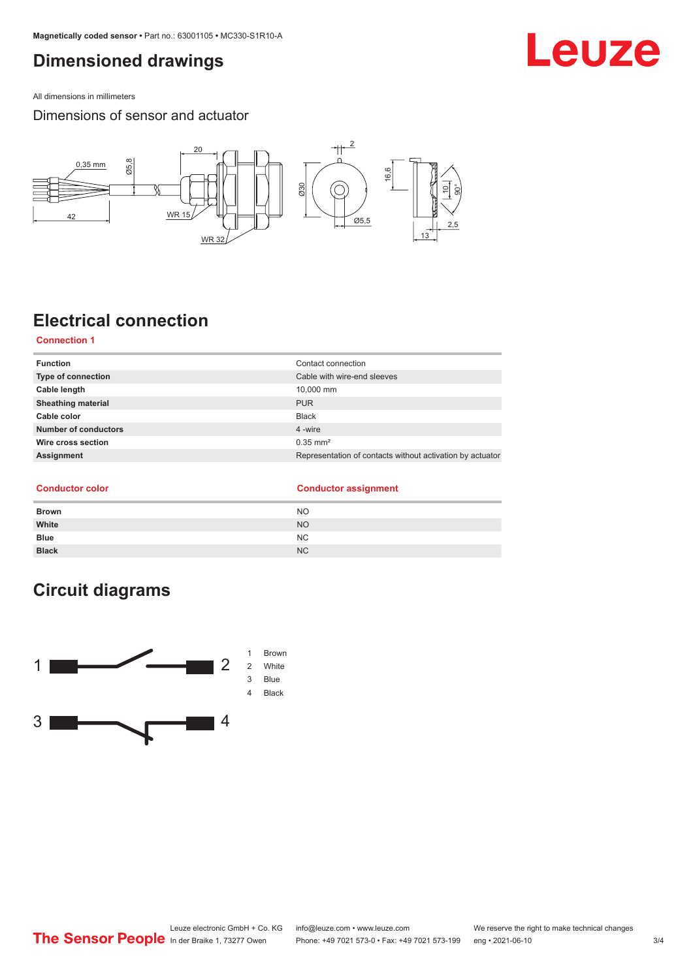### <span id="page-2-0"></span>**Dimensioned drawings**

All dimensions in millimeters

Dimensions of sensor and actuator



## **Electrical connection**

#### **Connection 1**

| Contact connection                                        |
|-----------------------------------------------------------|
| Cable with wire-end sleeves                               |
| 10.000 mm                                                 |
| <b>PUR</b>                                                |
| Black                                                     |
| 4 -wire                                                   |
| $0.35$ mm <sup>2</sup>                                    |
| Representation of contacts without activation by actuator |
|                                                           |

#### **Conductor color**

|  | <b>Conductor assignment</b> |
|--|-----------------------------|
|  |                             |

| <b>Brown</b> | <b>NO</b> |
|--------------|-----------|
| White        | <b>NO</b> |
| <b>Blue</b>  | NC.       |
| <b>Black</b> | <b>NC</b> |

## **Circuit diagrams**



## Leuze